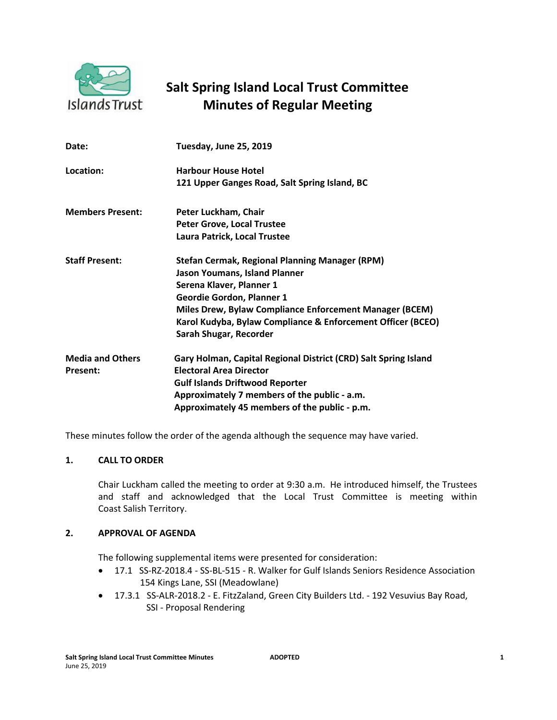

# **Salt Spring Island Local Trust Committee Minutes of Regular Meeting**

| Date:                                      | Tuesday, June 25, 2019                                                                                                                                                                                                                                                                                                   |
|--------------------------------------------|--------------------------------------------------------------------------------------------------------------------------------------------------------------------------------------------------------------------------------------------------------------------------------------------------------------------------|
| Location:                                  | <b>Harbour House Hotel</b><br>121 Upper Ganges Road, Salt Spring Island, BC                                                                                                                                                                                                                                              |
| <b>Members Present:</b>                    | Peter Luckham, Chair<br><b>Peter Grove, Local Trustee</b><br>Laura Patrick, Local Trustee                                                                                                                                                                                                                                |
| <b>Staff Present:</b>                      | <b>Stefan Cermak, Regional Planning Manager (RPM)</b><br><b>Jason Youmans, Island Planner</b><br>Serena Klaver, Planner 1<br><b>Geordie Gordon, Planner 1</b><br><b>Miles Drew, Bylaw Compliance Enforcement Manager (BCEM)</b><br>Karol Kudyba, Bylaw Compliance & Enforcement Officer (BCEO)<br>Sarah Shugar, Recorder |
| <b>Media and Others</b><br><b>Present:</b> | Gary Holman, Capital Regional District (CRD) Salt Spring Island<br><b>Electoral Area Director</b><br><b>Gulf Islands Driftwood Reporter</b><br>Approximately 7 members of the public - a.m.<br>Approximately 45 members of the public - p.m.                                                                             |

These minutes follow the order of the agenda although the sequence may have varied.

# **1. CALL TO ORDER**

Chair Luckham called the meeting to order at 9:30 a.m. He introduced himself, the Trustees and staff and acknowledged that the Local Trust Committee is meeting within Coast Salish Territory.

# **2. APPROVAL OF AGENDA**

The following supplemental items were presented for consideration:

- 17.1 SS-RZ-2018.4 SS-BL-515 R. Walker for Gulf Islands Seniors Residence Association 154 Kings Lane, SSI (Meadowlane)
- 17.3.1 SS-ALR-2018.2 E. FitzZaland, Green City Builders Ltd. 192 Vesuvius Bay Road, SSI - Proposal Rendering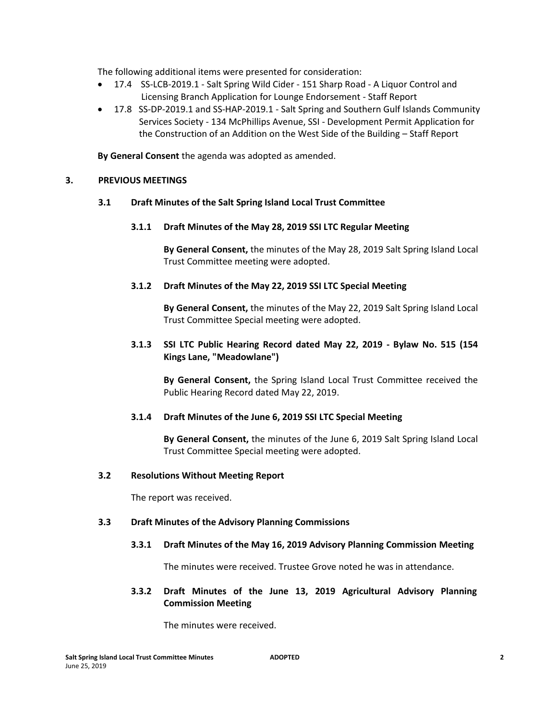The following additional items were presented for consideration:

- 17.4 SS-LCB-2019.1 Salt Spring Wild Cider 151 Sharp Road A Liquor Control and Licensing Branch Application for Lounge Endorsement - Staff Report
- 17.8 SS-DP-2019.1 and SS-HAP-2019.1 Salt Spring and Southern Gulf Islands Community Services Society - 134 McPhillips Avenue, SSI - Development Permit Application for the Construction of an Addition on the West Side of the Building – Staff Report

**By General Consent** the agenda was adopted as amended.

# **3. PREVIOUS MEETINGS**

#### **3.1 Draft Minutes of the Salt Spring Island Local Trust Committee**

**3.1.1 Draft Minutes of the May 28, 2019 SSI LTC Regular Meeting** 

**By General Consent,** the minutes of the May 28, 2019 Salt Spring Island Local Trust Committee meeting were adopted.

#### **3.1.2 Draft Minutes of the May 22, 2019 SSI LTC Special Meeting**

**By General Consent,** the minutes of the May 22, 2019 Salt Spring Island Local Trust Committee Special meeting were adopted.

# **3.1.3 SSI LTC Public Hearing Record dated May 22, 2019 - Bylaw No. 515 (154 Kings Lane, "Meadowlane")**

**By General Consent,** the Spring Island Local Trust Committee received the Public Hearing Record dated May 22, 2019.

# **3.1.4 Draft Minutes of the June 6, 2019 SSI LTC Special Meeting**

**By General Consent,** the minutes of the June 6, 2019 Salt Spring Island Local Trust Committee Special meeting were adopted.

#### **3.2 Resolutions Without Meeting Report**

The report was received.

#### **3.3 Draft Minutes of the Advisory Planning Commissions**

#### **3.3.1 Draft Minutes of the May 16, 2019 Advisory Planning Commission Meeting**

The minutes were received. Trustee Grove noted he was in attendance.

# **3.3.2 Draft Minutes of the June 13, 2019 Agricultural Advisory Planning Commission Meeting**

The minutes were received.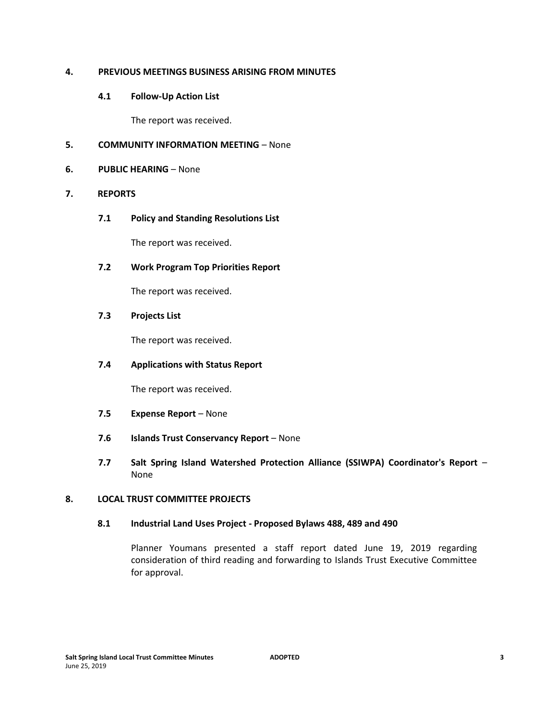# **4. PREVIOUS MEETINGS BUSINESS ARISING FROM MINUTES**

# **4.1 Follow-Up Action List**

The report was received.

# **5. COMMUNITY INFORMATION MEETING** – None

# **6. PUBLIC HEARING** – None

# **7. REPORTS**

**7.1 Policy and Standing Resolutions List**

The report was received.

# **7.2 Work Program Top Priorities Report**

The report was received.

# **7.3 Projects List**

The report was received.

# **7.4 Applications with Status Report**

The report was received.

- **7.5 Expense Report** None
- **7.6 Islands Trust Conservancy Report** None
- **7.7 Salt Spring Island Watershed Protection Alliance (SSIWPA) Coordinator's Report** None

# **8. LOCAL TRUST COMMITTEE PROJECTS**

#### **8.1 Industrial Land Uses Project - Proposed Bylaws 488, 489 and 490**

Planner Youmans presented a staff report dated June 19, 2019 regarding consideration of third reading and forwarding to Islands Trust Executive Committee for approval.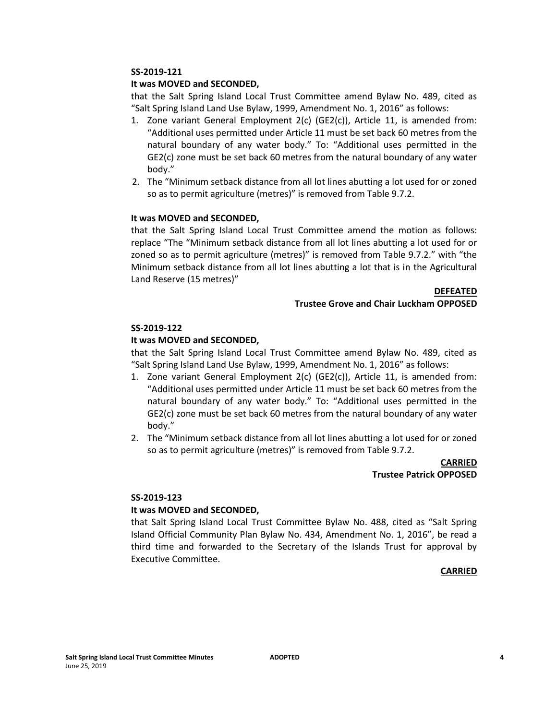## **It was MOVED and SECONDED,**

that the Salt Spring Island Local Trust Committee amend Bylaw No. 489, cited as "Salt Spring Island Land Use Bylaw, 1999, Amendment No. 1, 2016" as follows:

- 1. Zone variant General Employment 2(c) (GE2(c)), Article 11, is amended from: "Additional uses permitted under Article 11 must be set back 60 metres from the natural boundary of any water body." To: "Additional uses permitted in the GE2(c) zone must be set back 60 metres from the natural boundary of any water body."
- 2. The "Minimum setback distance from all lot lines abutting a lot used for or zoned so as to permit agriculture (metres)" is removed from Table 9.7.2.

#### **It was MOVED and SECONDED,**

that the Salt Spring Island Local Trust Committee amend the motion as follows: replace "The "Minimum setback distance from all lot lines abutting a lot used for or zoned so as to permit agriculture (metres)" is removed from Table 9.7.2." with "the Minimum setback distance from all lot lines abutting a lot that is in the Agricultural Land Reserve (15 metres)"

#### **DEFEATED**

#### **Trustee Grove and Chair Luckham OPPOSED**

#### **SS-2019-122**

#### **It was MOVED and SECONDED,**

that the Salt Spring Island Local Trust Committee amend Bylaw No. 489, cited as "Salt Spring Island Land Use Bylaw, 1999, Amendment No. 1, 2016" as follows:

- 1. Zone variant General Employment 2(c) (GE2(c)), Article 11, is amended from: "Additional uses permitted under Article 11 must be set back 60 metres from the natural boundary of any water body." To: "Additional uses permitted in the GE2(c) zone must be set back 60 metres from the natural boundary of any water body."
- 2. The "Minimum setback distance from all lot lines abutting a lot used for or zoned so as to permit agriculture (metres)" is removed from Table 9.7.2.

**CARRIED Trustee Patrick OPPOSED**

#### **SS-2019-123**

#### **It was MOVED and SECONDED,**

that Salt Spring Island Local Trust Committee Bylaw No. 488, cited as "Salt Spring Island Official Community Plan Bylaw No. 434, Amendment No. 1, 2016", be read a third time and forwarded to the Secretary of the Islands Trust for approval by Executive Committee.

#### **CARRIED**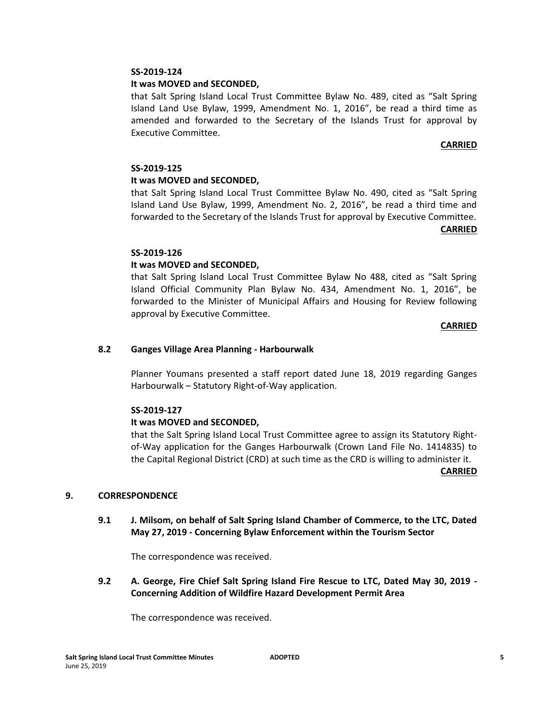## **It was MOVED and SECONDED,**

that Salt Spring Island Local Trust Committee Bylaw No. 489, cited as "Salt Spring Island Land Use Bylaw, 1999, Amendment No. 1, 2016", be read a third time as amended and forwarded to the Secretary of the Islands Trust for approval by Executive Committee.

## **CARRIED**

#### **SS-2019-125**

#### **It was MOVED and SECONDED,**

that Salt Spring Island Local Trust Committee Bylaw No. 490, cited as "Salt Spring Island Land Use Bylaw, 1999, Amendment No. 2, 2016", be read a third time and forwarded to the Secretary of the Islands Trust for approval by Executive Committee.

**CARRIED**

#### **SS-2019-126**

# **It was MOVED and SECONDED,**

that Salt Spring Island Local Trust Committee Bylaw No 488, cited as "Salt Spring Island Official Community Plan Bylaw No. 434, Amendment No. 1, 2016", be forwarded to the Minister of Municipal Affairs and Housing for Review following approval by Executive Committee.

#### **CARRIED**

#### **8.2 Ganges Village Area Planning - Harbourwalk**

Planner Youmans presented a staff report dated June 18, 2019 regarding Ganges Harbourwalk – Statutory Right-of-Way application.

#### **SS-2019-127**

# **It was MOVED and SECONDED,**

that the Salt Spring Island Local Trust Committee agree to assign its Statutory Rightof-Way application for the Ganges Harbourwalk (Crown Land File No. 1414835) to the Capital Regional District (CRD) at such time as the CRD is willing to administer it.

#### **CARRIED**

# **9. CORRESPONDENCE**

**9.1 J. Milsom, on behalf of Salt Spring Island Chamber of Commerce, to the LTC, Dated May 27, 2019 - Concerning Bylaw Enforcement within the Tourism Sector** 

The correspondence was received.

**9.2 A. George, Fire Chief Salt Spring Island Fire Rescue to LTC, Dated May 30, 2019 - Concerning Addition of Wildfire Hazard Development Permit Area** 

The correspondence was received.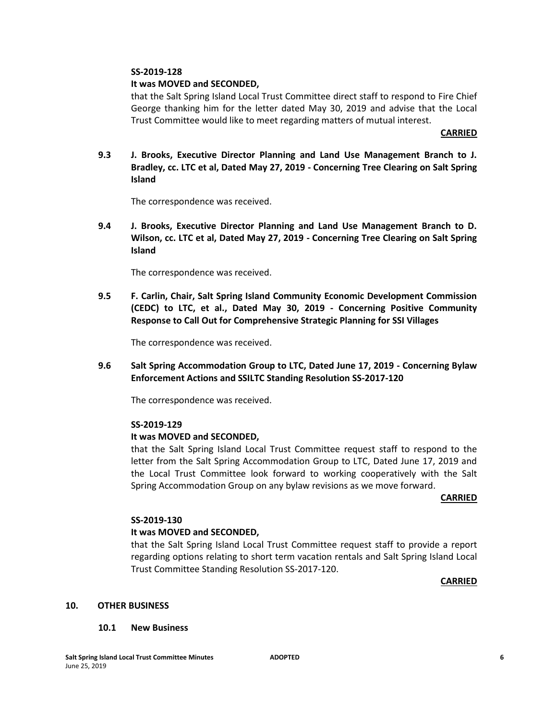## **It was MOVED and SECONDED,**

that the Salt Spring Island Local Trust Committee direct staff to respond to Fire Chief George thanking him for the letter dated May 30, 2019 and advise that the Local Trust Committee would like to meet regarding matters of mutual interest.

#### **CARRIED**

**9.3 J. Brooks, Executive Director Planning and Land Use Management Branch to J. Bradley, cc. LTC et al, Dated May 27, 2019 - Concerning Tree Clearing on Salt Spring Island** 

The correspondence was received.

**9.4 J. Brooks, Executive Director Planning and Land Use Management Branch to D. Wilson, cc. LTC et al, Dated May 27, 2019 - Concerning Tree Clearing on Salt Spring Island** 

The correspondence was received.

**9.5 F. Carlin, Chair, Salt Spring Island Community Economic Development Commission (CEDC) to LTC, et al., Dated May 30, 2019 - Concerning Positive Community Response to Call Out for Comprehensive Strategic Planning for SSI Villages** 

The correspondence was received.

**9.6 Salt Spring Accommodation Group to LTC, Dated June 17, 2019 - Concerning Bylaw Enforcement Actions and SSILTC Standing Resolution SS-2017-120**

The correspondence was received.

#### **SS-2019-129**

#### **It was MOVED and SECONDED,**

that the Salt Spring Island Local Trust Committee request staff to respond to the letter from the Salt Spring Accommodation Group to LTC, Dated June 17, 2019 and the Local Trust Committee look forward to working cooperatively with the Salt Spring Accommodation Group on any bylaw revisions as we move forward.

#### **CARRIED**

#### **SS-2019-130**

#### **It was MOVED and SECONDED,**

that the Salt Spring Island Local Trust Committee request staff to provide a report regarding options relating to short term vacation rentals and Salt Spring Island Local Trust Committee Standing Resolution SS-2017-120.

**CARRIED**

#### **10. OTHER BUSINESS**

#### **10.1 New Business**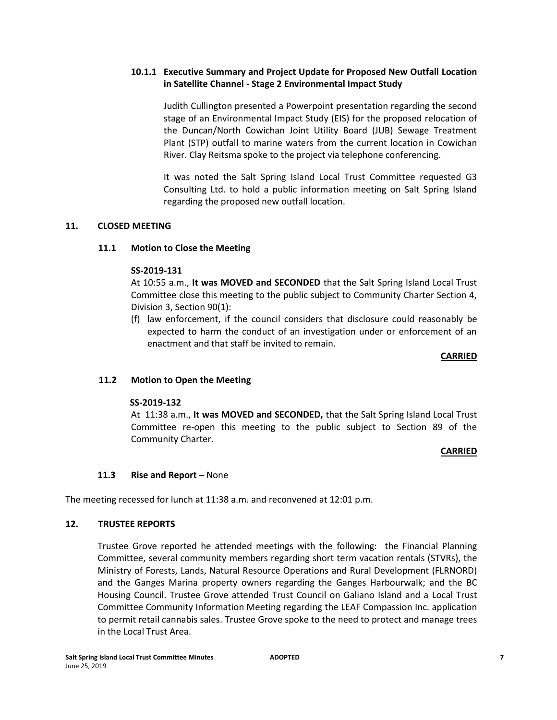# **10.1.1 Executive Summary and Project Update for Proposed New Outfall Location in Satellite Channel - Stage 2 Environmental Impact Study**

Judith Cullington presented a Powerpoint presentation regarding the second stage of an Environmental Impact Study (EIS) for the proposed relocation of the Duncan/North Cowichan Joint Utility Board (JUB) Sewage Treatment Plant (STP) outfall to marine waters from the current location in Cowichan River. Clay Reitsma spoke to the project via telephone conferencing.

It was noted the Salt Spring Island Local Trust Committee requested G3 Consulting Ltd. to hold a public information meeting on Salt Spring Island regarding the proposed new outfall location.

# **11. CLOSED MEETING**

# **11.1 Motion to Close the Meeting**

# **SS-2019-131**

At 10:55 a.m., **It was MOVED and SECONDED** that the Salt Spring Island Local Trust Committee close this meeting to the public subject to Community Charter Section 4, Division 3, Section 90(1):

(f) law enforcement, if the council considers that disclosure could reasonably be expected to harm the conduct of an investigation under or enforcement of an enactment and that staff be invited to remain.

#### **CARRIED**

# **11.2 Motion to Open the Meeting**

# **SS-2019-132**

At 11:38 a.m., **It was MOVED and SECONDED,** that the Salt Spring Island Local Trust Committee re-open this meeting to the public subject to Section 89 of the Community Charter.

# **CARRIED**

# **11.3 Rise and Report** – None

The meeting recessed for lunch at 11:38 a.m. and reconvened at 12:01 p.m.

# **12. TRUSTEE REPORTS**

Trustee Grove reported he attended meetings with the following: the Financial Planning Committee, several community members regarding short term vacation rentals (STVRs), the Ministry of Forests, Lands, Natural Resource Operations and Rural Development (FLRNORD) and the Ganges Marina property owners regarding the Ganges Harbourwalk; and the BC Housing Council. Trustee Grove attended Trust Council on Galiano Island and a Local Trust Committee Community Information Meeting regarding the LEAF Compassion Inc. application to permit retail cannabis sales. Trustee Grove spoke to the need to protect and manage trees in the Local Trust Area.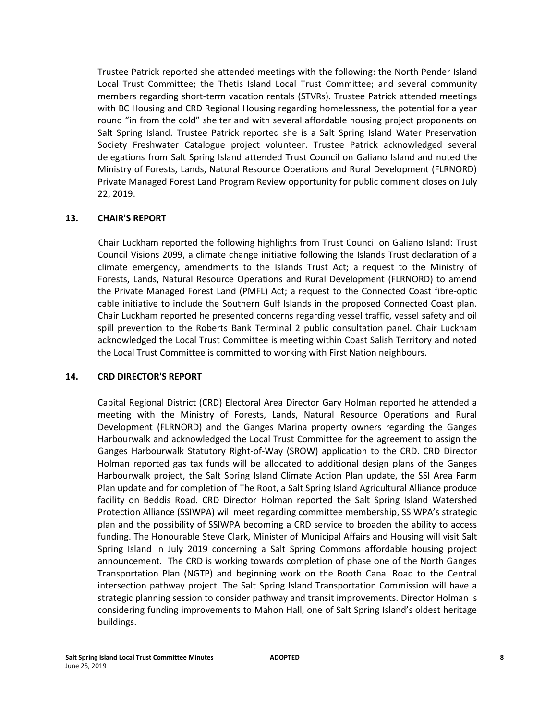Trustee Patrick reported she attended meetings with the following: the North Pender Island Local Trust Committee; the Thetis Island Local Trust Committee; and several community members regarding short-term vacation rentals (STVRs). Trustee Patrick attended meetings with BC Housing and CRD Regional Housing regarding homelessness, the potential for a year round "in from the cold" shelter and with several affordable housing project proponents on Salt Spring Island. Trustee Patrick reported she is a Salt Spring Island Water Preservation Society Freshwater Catalogue project volunteer. Trustee Patrick acknowledged several delegations from Salt Spring Island attended Trust Council on Galiano Island and noted the Ministry of Forests, Lands, Natural Resource Operations and Rural Development (FLRNORD) Private Managed Forest Land Program Review opportunity for public comment closes on July 22, 2019.

# **13. CHAIR'S REPORT**

Chair Luckham reported the following highlights from Trust Council on Galiano Island: Trust Council Visions 2099, a climate change initiative following the Islands Trust declaration of a climate emergency, amendments to the Islands Trust Act; a request to the Ministry of Forests, Lands, Natural Resource Operations and Rural Development (FLRNORD) to amend the Private Managed Forest Land (PMFL) Act; a request to the Connected Coast fibre-optic cable initiative to include the Southern Gulf Islands in the proposed Connected Coast plan. Chair Luckham reported he presented concerns regarding vessel traffic, vessel safety and oil spill prevention to the Roberts Bank Terminal 2 public consultation panel. Chair Luckham acknowledged the Local Trust Committee is meeting within Coast Salish Territory and noted the Local Trust Committee is committed to working with First Nation neighbours.

# **14. CRD DIRECTOR'S REPORT**

Capital Regional District (CRD) Electoral Area Director Gary Holman reported he attended a meeting with the Ministry of Forests, Lands, Natural Resource Operations and Rural Development (FLRNORD) and the Ganges Marina property owners regarding the Ganges Harbourwalk and acknowledged the Local Trust Committee for the agreement to assign the Ganges Harbourwalk Statutory Right-of-Way (SROW) application to the CRD. CRD Director Holman reported gas tax funds will be allocated to additional design plans of the Ganges Harbourwalk project, the Salt Spring Island Climate Action Plan update, the SSI Area Farm Plan update and for completion of The Root, a Salt Spring Island Agricultural Alliance produce facility on Beddis Road. CRD Director Holman reported the Salt Spring Island Watershed Protection Alliance (SSIWPA) will meet regarding committee membership, SSIWPA's strategic plan and the possibility of SSIWPA becoming a CRD service to broaden the ability to access funding. The Honourable Steve Clark, Minister of Municipal Affairs and Housing will visit Salt Spring Island in July 2019 concerning a Salt Spring Commons affordable housing project announcement. The CRD is working towards completion of phase one of the North Ganges Transportation Plan (NGTP) and beginning work on the Booth Canal Road to the Central intersection pathway project. The Salt Spring Island Transportation Commission will have a strategic planning session to consider pathway and transit improvements. Director Holman is considering funding improvements to Mahon Hall, one of Salt Spring Island's oldest heritage buildings.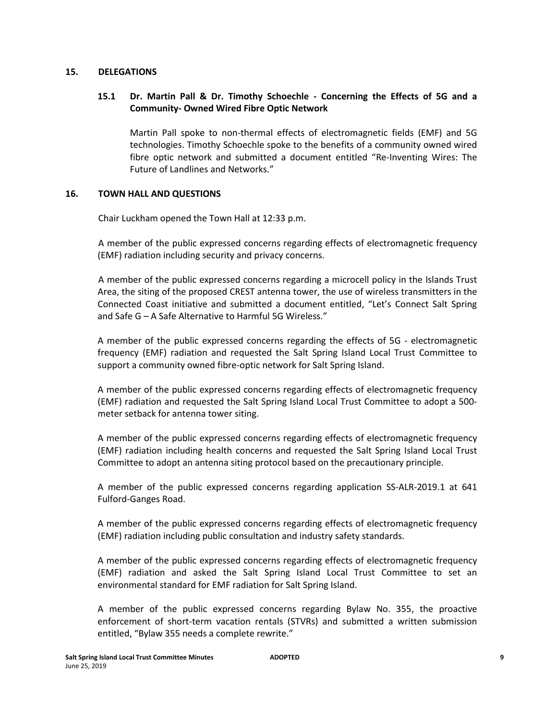#### **15. DELEGATIONS**

# **15.1 Dr. Martin Pall & Dr. Timothy Schoechle - Concerning the Effects of 5G and a Community- Owned Wired Fibre Optic Network**

Martin Pall spoke to non-thermal effects of electromagnetic fields (EMF) and 5G technologies. Timothy Schoechle spoke to the benefits of a community owned wired fibre optic network and submitted a document entitled "Re-Inventing Wires: The Future of Landlines and Networks."

# **16. TOWN HALL AND QUESTIONS**

Chair Luckham opened the Town Hall at 12:33 p.m.

A member of the public expressed concerns regarding effects of electromagnetic frequency (EMF) radiation including security and privacy concerns.

A member of the public expressed concerns regarding a microcell policy in the Islands Trust Area, the siting of the proposed CREST antenna tower, the use of wireless transmitters in the Connected Coast initiative and submitted a document entitled, "Let's Connect Salt Spring and Safe G – A Safe Alternative to Harmful 5G Wireless."

A member of the public expressed concerns regarding the effects of 5G - electromagnetic frequency (EMF) radiation and requested the Salt Spring Island Local Trust Committee to support a community owned fibre-optic network for Salt Spring Island.

A member of the public expressed concerns regarding effects of electromagnetic frequency (EMF) radiation and requested the Salt Spring Island Local Trust Committee to adopt a 500 meter setback for antenna tower siting.

A member of the public expressed concerns regarding effects of electromagnetic frequency (EMF) radiation including health concerns and requested the Salt Spring Island Local Trust Committee to adopt an antenna siting protocol based on the precautionary principle.

A member of the public expressed concerns regarding application SS-ALR-2019.1 at 641 Fulford-Ganges Road.

A member of the public expressed concerns regarding effects of electromagnetic frequency (EMF) radiation including public consultation and industry safety standards.

A member of the public expressed concerns regarding effects of electromagnetic frequency (EMF) radiation and asked the Salt Spring Island Local Trust Committee to set an environmental standard for EMF radiation for Salt Spring Island.

A member of the public expressed concerns regarding Bylaw No. 355, the proactive enforcement of short-term vacation rentals (STVRs) and submitted a written submission entitled, "Bylaw 355 needs a complete rewrite."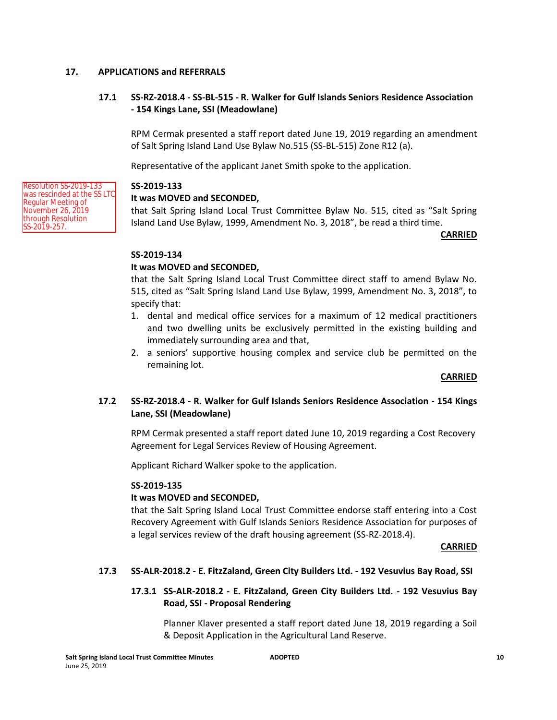## **17. APPLICATIONS and REFERRALS**

# **17.1 SS-RZ-2018.4 - SS-BL-515 - R. Walker for Gulf Islands Seniors Residence Association - 154 Kings Lane, SSI (Meadowlane)**

RPM Cermak presented a staff report dated June 19, 2019 regarding an amendment of Salt Spring Island Land Use Bylaw No.515 (SS-BL-515) Zone R12 (a).

Representative of the applicant Janet Smith spoke to the application.

#### **SS-2019-133**

# **It was MOVED and SECONDED,**

that Salt Spring Island Local Trust Committee Bylaw No. 515, cited as "Salt Spring Island Land Use Bylaw, 1999, Amendment No. 3, 2018", be read a third time.

#### **CARRIED**

# **SS-2019-134**

# **It was MOVED and SECONDED,**

that the Salt Spring Island Local Trust Committee direct staff to amend Bylaw No. 515, cited as "Salt Spring Island Land Use Bylaw, 1999, Amendment No. 3, 2018", to specify that:

- 1. dental and medical office services for a maximum of 12 medical practitioners and two dwelling units be exclusively permitted in the existing building and immediately surrounding area and that,
- 2. a seniors' supportive housing complex and service club be permitted on the remaining lot.

#### **CARRIED**

# **17.2 SS-RZ-2018.4 - R. Walker for Gulf Islands Seniors Residence Association - 154 Kings Lane, SSI (Meadowlane)**

RPM Cermak presented a staff report dated June 10, 2019 regarding a Cost Recovery Agreement for Legal Services Review of Housing Agreement.

Applicant Richard Walker spoke to the application.

#### **SS-2019-135**

# **It was MOVED and SECONDED,**

that the Salt Spring Island Local Trust Committee endorse staff entering into a Cost Recovery Agreement with Gulf Islands Seniors Residence Association for purposes of a legal services review of the draft housing agreement (SS-RZ-2018.4).

#### **CARRIED**

# **17.3 SS-ALR-2018.2 - E. FitzZaland, Green City Builders Ltd. - 192 Vesuvius Bay Road, SSI**

# **17.3.1 SS-ALR-2018.2 - E. FitzZaland, Green City Builders Ltd. - 192 Vesuvius Bay Road, SSI - Proposal Rendering**

Planner Klaver presented a staff report dated June 18, 2019 regarding a Soil & Deposit Application in the Agricultural Land Reserve.

Resolution SS-2019-133 was rescinded at the SS LTC Regular Meeting of November 26, 2019 through Resolution SS-2019-257.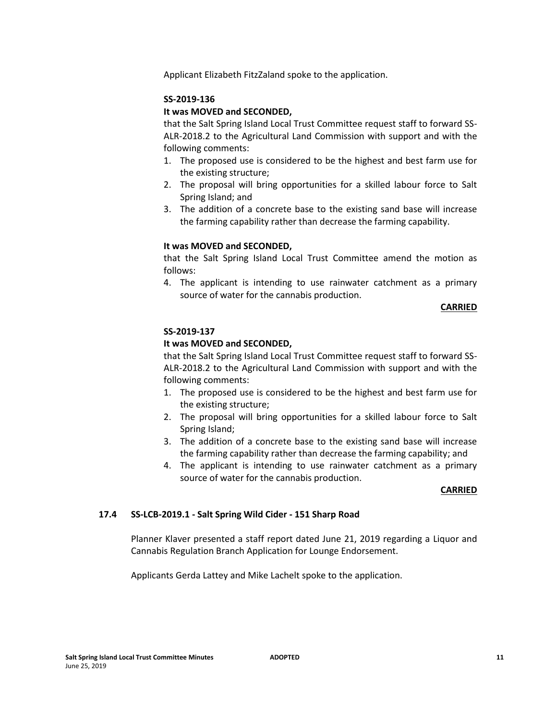Applicant Elizabeth FitzZaland spoke to the application.

## **SS-2019-136**

# **It was MOVED and SECONDED,**

that the Salt Spring Island Local Trust Committee request staff to forward SS-ALR-2018.2 to the Agricultural Land Commission with support and with the following comments:

- 1. The proposed use is considered to be the highest and best farm use for the existing structure;
- 2. The proposal will bring opportunities for a skilled labour force to Salt Spring Island; and
- 3. The addition of a concrete base to the existing sand base will increase the farming capability rather than decrease the farming capability.

# **It was MOVED and SECONDED,**

that the Salt Spring Island Local Trust Committee amend the motion as follows:

4. The applicant is intending to use rainwater catchment as a primary source of water for the cannabis production.

#### **CARRIED**

# **SS-2019-137**

# **It was MOVED and SECONDED,**

that the Salt Spring Island Local Trust Committee request staff to forward SS-ALR-2018.2 to the Agricultural Land Commission with support and with the following comments:

- 1. The proposed use is considered to be the highest and best farm use for the existing structure;
- 2. The proposal will bring opportunities for a skilled labour force to Salt Spring Island;
- 3. The addition of a concrete base to the existing sand base will increase the farming capability rather than decrease the farming capability; and
- 4. The applicant is intending to use rainwater catchment as a primary source of water for the cannabis production.

# **CARRIED**

# **17.4 SS-LCB-2019.1 - Salt Spring Wild Cider - 151 Sharp Road**

Planner Klaver presented a staff report dated June 21, 2019 regarding a Liquor and Cannabis Regulation Branch Application for Lounge Endorsement.

Applicants Gerda Lattey and Mike Lachelt spoke to the application.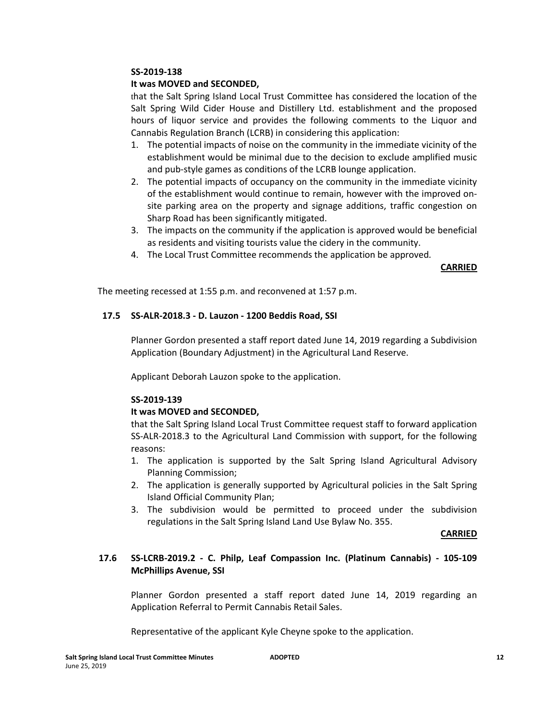## **It was MOVED and SECONDED,**

that the Salt Spring Island Local Trust Committee has considered the location of the Salt Spring Wild Cider House and Distillery Ltd. establishment and the proposed hours of liquor service and provides the following comments to the Liquor and Cannabis Regulation Branch (LCRB) in considering this application:

- 1. The potential impacts of noise on the community in the immediate vicinity of the establishment would be minimal due to the decision to exclude amplified music and pub-style games as conditions of the LCRB lounge application.
- 2. The potential impacts of occupancy on the community in the immediate vicinity of the establishment would continue to remain, however with the improved onsite parking area on the property and signage additions, traffic congestion on Sharp Road has been significantly mitigated.
- 3. The impacts on the community if the application is approved would be beneficial as residents and visiting tourists value the cidery in the community.
- 4. The Local Trust Committee recommends the application be approved*.*

**CARRIED**

The meeting recessed at 1:55 p.m. and reconvened at 1:57 p.m.

#### **17.5 SS-ALR-2018.3 - D. Lauzon - 1200 Beddis Road, SSI**

Planner Gordon presented a staff report dated June 14, 2019 regarding a Subdivision Application (Boundary Adjustment) in the Agricultural Land Reserve.

Applicant Deborah Lauzon spoke to the application.

#### **SS-2019-139**

# **It was MOVED and SECONDED,**

that the Salt Spring Island Local Trust Committee request staff to forward application SS-ALR-2018.3 to the Agricultural Land Commission with support, for the following reasons:

- 1. The application is supported by the Salt Spring Island Agricultural Advisory Planning Commission;
- 2. The application is generally supported by Agricultural policies in the Salt Spring Island Official Community Plan;
- 3. The subdivision would be permitted to proceed under the subdivision regulations in the Salt Spring Island Land Use Bylaw No. 355.

#### **CARRIED**

# **17.6 SS-LCRB-2019.2 - C. Philp, Leaf Compassion Inc. (Platinum Cannabis) - 105-109 McPhillips Avenue, SSI**

Planner Gordon presented a staff report dated June 14, 2019 regarding an Application Referral to Permit Cannabis Retail Sales.

Representative of the applicant Kyle Cheyne spoke to the application.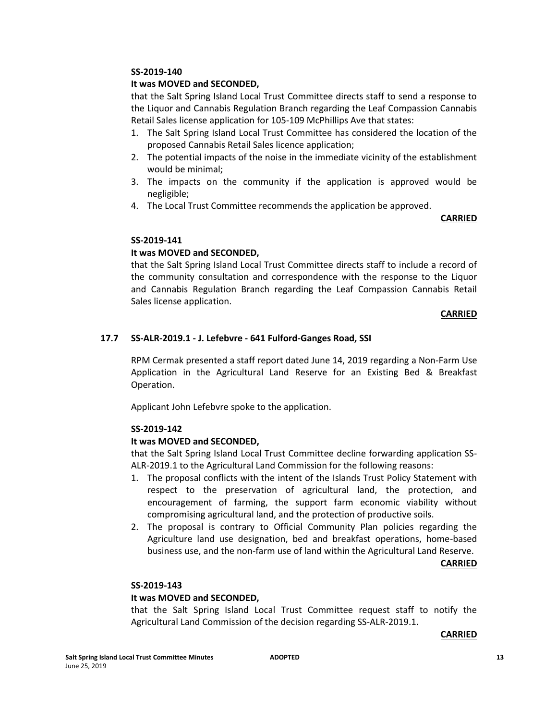## **It was MOVED and SECONDED,**

that the Salt Spring Island Local Trust Committee directs staff to send a response to the Liquor and Cannabis Regulation Branch regarding the Leaf Compassion Cannabis Retail Sales license application for 105-109 McPhillips Ave that states:

- 1. The Salt Spring Island Local Trust Committee has considered the location of the proposed Cannabis Retail Sales licence application;
- 2. The potential impacts of the noise in the immediate vicinity of the establishment would be minimal;
- 3. The impacts on the community if the application is approved would be negligible;
- 4. The Local Trust Committee recommends the application be approved.

#### **CARRIED**

# **SS-2019-141**

# **It was MOVED and SECONDED,**

that the Salt Spring Island Local Trust Committee directs staff to include a record of the community consultation and correspondence with the response to the Liquor and Cannabis Regulation Branch regarding the Leaf Compassion Cannabis Retail Sales license application.

#### **CARRIED**

# **17.7 SS-ALR-2019.1 - J. Lefebvre - 641 Fulford-Ganges Road, SSI**

RPM Cermak presented a staff report dated June 14, 2019 regarding a Non-Farm Use Application in the Agricultural Land Reserve for an Existing Bed & Breakfast Operation.

Applicant John Lefebvre spoke to the application.

# **SS-2019-142**

# **It was MOVED and SECONDED,**

that the Salt Spring Island Local Trust Committee decline forwarding application SS-ALR-2019.1 to the Agricultural Land Commission for the following reasons:

- 1. The proposal conflicts with the intent of the Islands Trust Policy Statement with respect to the preservation of agricultural land, the protection, and encouragement of farming, the support farm economic viability without compromising agricultural land, and the protection of productive soils.
- 2. The proposal is contrary to Official Community Plan policies regarding the Agriculture land use designation, bed and breakfast operations, home-based business use, and the non-farm use of land within the Agricultural Land Reserve.

#### **CARRIED**

# **SS-2019-143**

#### **It was MOVED and SECONDED,**

that the Salt Spring Island Local Trust Committee request staff to notify the Agricultural Land Commission of the decision regarding SS-ALR-2019.1.

#### **CARRIED**